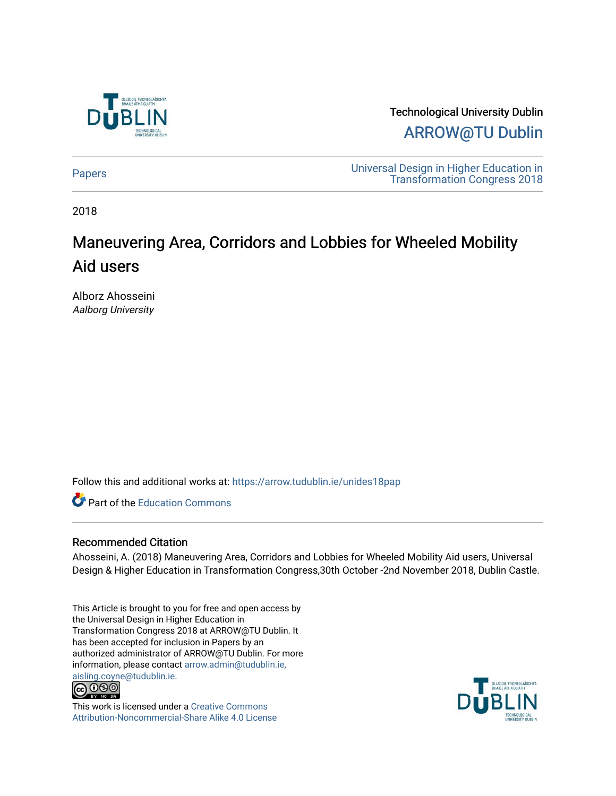

Technological University Dublin [ARROW@TU Dublin](https://arrow.tudublin.ie/) 

[Papers](https://arrow.tudublin.ie/unides18pap) [Universal Design in Higher Education in](https://arrow.tudublin.ie/univdes18)  [Transformation Congress 2018](https://arrow.tudublin.ie/univdes18) 

2018

# Maneuvering Area, Corridors and Lobbies for Wheeled Mobility Aid users

Alborz Ahosseini Aalborg University

Follow this and additional works at: [https://arrow.tudublin.ie/unides18pap](https://arrow.tudublin.ie/unides18pap?utm_source=arrow.tudublin.ie%2Funides18pap%2F18&utm_medium=PDF&utm_campaign=PDFCoverPages)

Part of the [Education Commons](http://network.bepress.com/hgg/discipline/784?utm_source=arrow.tudublin.ie%2Funides18pap%2F18&utm_medium=PDF&utm_campaign=PDFCoverPages)

## Recommended Citation

Ahosseini, A. (2018) Maneuvering Area, Corridors and Lobbies for Wheeled Mobility Aid users, Universal Design & Higher Education in Transformation Congress,30th October -2nd November 2018, Dublin Castle.

This Article is brought to you for free and open access by the Universal Design in Higher Education in Transformation Congress 2018 at ARROW@TU Dublin. It has been accepted for inclusion in Papers by an authorized administrator of ARROW@TU Dublin. For more information, please contact [arrow.admin@tudublin.ie,](mailto:arrow.admin@tudublin.ie,%20aisling.coyne@tudublin.ie)  [aisling.coyne@tudublin.ie.](mailto:arrow.admin@tudublin.ie,%20aisling.coyne@tudublin.ie)<br>© 090



This work is licensed under a [Creative Commons](http://creativecommons.org/licenses/by-nc-sa/4.0/) [Attribution-Noncommercial-Share Alike 4.0 License](http://creativecommons.org/licenses/by-nc-sa/4.0/)

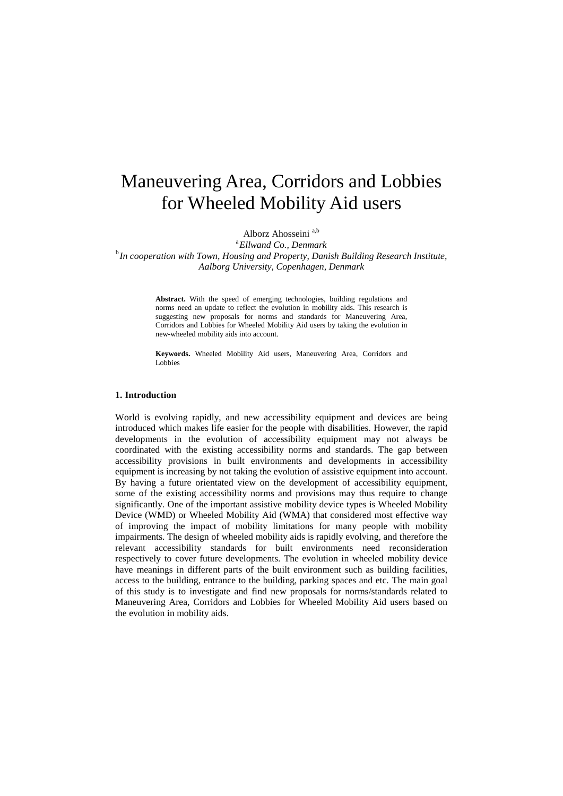## Maneuvering Area, Corridors and Lobbies for Wheeled Mobility Aid users

Alborz Ahosseini a,b

<sup>a</sup> Ellwand Co., Denmark *Ellwand Co., Denmark* <sup>b</sup> *In cooperation with Town, Housing and Property, Danish Building Research Institute, Aalborg University, Copenhagen, Denmark*

> **Abstract.** With the speed of emerging technologies, building regulations and norms need an update to reflect the evolution in mobility aids. This research is suggesting new proposals for norms and standards for Maneuvering Area, Corridors and Lobbies for Wheeled Mobility Aid users by taking the evolution in new-wheeled mobility aids into account.

> **Keywords.** Wheeled Mobility Aid users, Maneuvering Area, Corridors and Lobbies

#### **1. Introduction**

World is evolving rapidly, and new accessibility equipment and devices are being introduced which makes life easier for the people with disabilities. However, the rapid developments in the evolution of accessibility equipment may not always be coordinated with the existing accessibility norms and standards. The gap between accessibility provisions in built environments and developments in accessibility equipment is increasing by not taking the evolution of assistive equipment into account. By having a future orientated view on the development of accessibility equipment, some of the existing accessibility norms and provisions may thus require to change significantly. One of the important assistive mobility device types is Wheeled Mobility Device (WMD) or Wheeled Mobility Aid (WMA) that considered most effective way of improving the impact of mobility limitations for many people with mobility impairments. The design of wheeled mobility aids is rapidly evolving, and therefore the relevant accessibility standards for built environments need reconsideration respectively to cover future developments. The evolution in wheeled mobility device have meanings in different parts of the built environment such as building facilities, access to the building, entrance to the building, parking spaces and etc. The main goal of this study is to investigate and find new proposals for norms/standards related to Maneuvering Area, Corridors and Lobbies for Wheeled Mobility Aid users based on the evolution in mobility aids.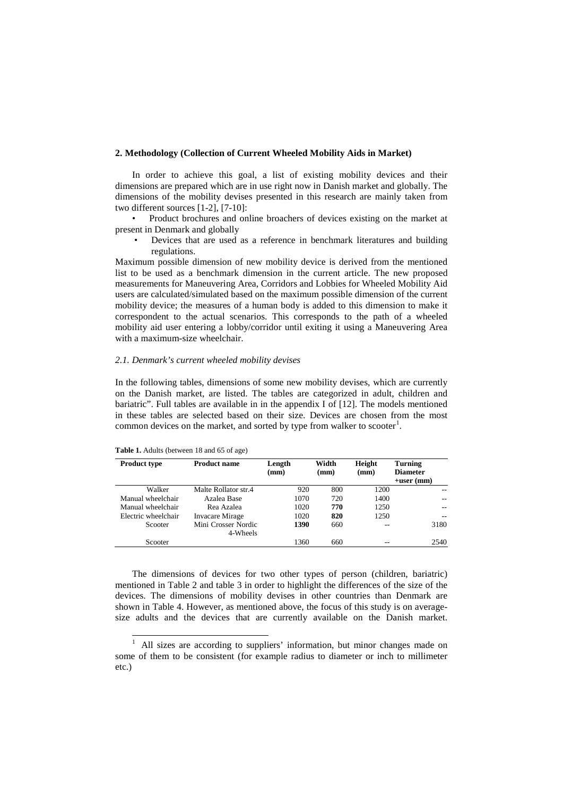#### **2. Methodology (Collection of Current Wheeled Mobility Aids in Market)**

In order to achieve this goal, a list of existing mobility devices and their dimensions are prepared which are in use right now in Danish market and globally. The dimensions of the mobility devises presented in this research are mainly taken from two different sources [1-2], [7-10]:

• Product brochures and online broachers of devices existing on the market at present in Denmark and globally

• Devices that are used as a reference in benchmark literatures and building regulations.

Maximum possible dimension of new mobility device is derived from the mentioned list to be used as a benchmark dimension in the current article. The new proposed measurements for Maneuvering Area, Corridors and Lobbies for Wheeled Mobility Aid users are calculated/simulated based on the maximum possible dimension of the current mobility device; the measures of a human body is added to this dimension to make it correspondent to the actual scenarios. This corresponds to the path of a wheeled mobility aid user entering a lobby/corridor until exiting it using a Maneuvering Area with a maximum-size wheelchair.

#### *2.1. Denmark's current wheeled mobility devises*

In the following tables, dimensions of some new mobility devises, which are currently on the Danish market, are listed. The tables are categorized in adult, children and bariatric". Full tables are available in in the appendix I of [12]. The models mentioned in these tables are selected based on their size. Devices are chosen from the most common devices on the market, and sorted by type from walker to scooter<sup>[1](#page-2-0)</sup>.

| <b>Product type</b> | <b>Product name</b>             | Length<br>(mm) | Width<br>(mm) | Height<br>(mm) | <b>Turning</b><br><b>Diameter</b><br>$+$ user (mm) |
|---------------------|---------------------------------|----------------|---------------|----------------|----------------------------------------------------|
| Walker              | Malte Rollator str.4            | 920            | 800           | 1200           |                                                    |
| Manual wheelchair   | Azalea Base                     | 1070           | 720           | 1400           | $-$                                                |
| Manual wheelchair   | Rea Azalea                      | 1020           | 770           | 1250           | $-$                                                |
| Electric wheelchair | <b>Invacare Mirage</b>          | 1020           | 820           | 1250           | $-$                                                |
| Scooter             | Mini Crosser Nordic<br>4-Wheels | 1390           | 660           | --             | 3180                                               |
| Scooter             |                                 | 1360           | 660           |                | 2540                                               |

**Table 1.** Adults (between 18 and 65 of age)

The dimensions of devices for two other types of person (children, bariatric) mentioned in [Table 2](#page-3-0) and table 3 in order to highlight the differences of the size of the devices. The dimensions of mobility devises in other countries than Denmark are shown in Table 4. However, as mentioned above, the focus of this study is on averagesize adults and the devices that are currently available on the Danish market.

<span id="page-2-0"></span> <sup>1</sup> All sizes are according to suppliers' information, but minor changes made on some of them to be consistent (for example radius to diameter or inch to millimeter etc.)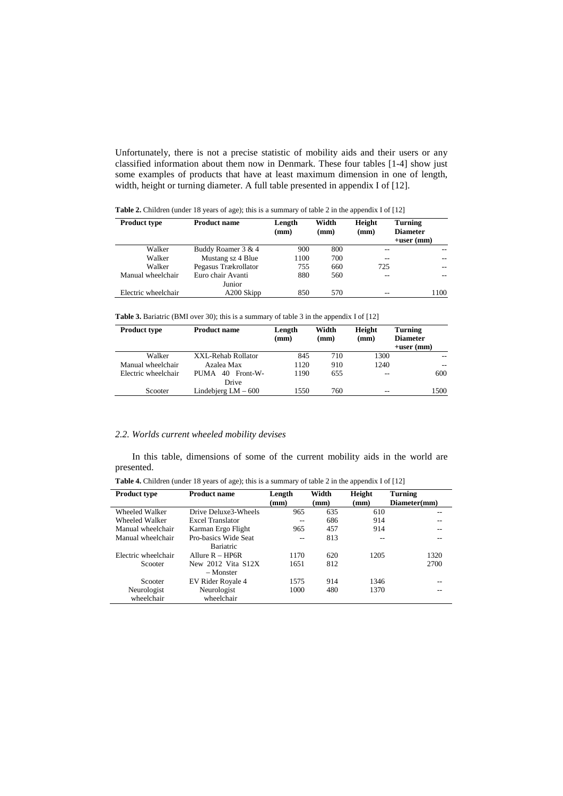Unfortunately, there is not a precise statistic of mobility aids and their users or any classified information about them now in Denmark. These four tables [1-4] show just some examples of products that have at least maximum dimension in one of length, width, height or turning diameter. A full table presented in appendix I of [12].

| <b>Product type</b> | <b>Product name</b>  | Length<br>(mm) | Width<br>(mm) | Height<br>(mm) | Turning<br><b>Diameter</b><br>$+$ user (mm) |
|---------------------|----------------------|----------------|---------------|----------------|---------------------------------------------|
| Walker              | Buddy Roamer 3 & 4   | 900            | 800           | --             | --                                          |
| Walker              | Mustang sz 4 Blue    | 1100           | 700           | --             | --                                          |
| Walker              | Pegasus Trækrollator | 755            | 660           | 725            | $-$                                         |
| Manual wheelchair   | Euro chair Avanti    | 880            | 560           | --             | $-$                                         |
|                     | Junior               |                |               |                |                                             |
| Electric wheelchair | A200 Skipp           | 850            | 570           | --             | 1100                                        |

<span id="page-3-0"></span>**Table 2.** Children (under 18 years of age); this is a summary of table 2 in the appendix I of [12]

**Table 3.** Bariatric (BMI over 30); this is a summary of table 3 in the appendix I of [12]

| <b>Product type</b> | <b>Product name</b>          | Length<br>(mm) | Width<br>(mm) | Height<br>(mm) | Turning<br><b>Diameter</b><br>$+$ user (mm) |
|---------------------|------------------------------|----------------|---------------|----------------|---------------------------------------------|
| Walker              | XXL-Rehab Rollator           | 845            | 710           | 1300           | --                                          |
| Manual wheelchair   | Azalea Max                   | 1120           | 910           | 1240           | --                                          |
| Electric wheelchair | 40 Front-W-<br>PUMA<br>Drive | 1190           | 655           | $-$            | 600                                         |
| Scooter             | Lindebjerg $LM - 600$        | 1550           | 760           | $- -$          | 1500                                        |

#### *2.2. Worlds current wheeled mobility devises*

In this table, dimensions of some of the current mobility aids in the world are presented.

| $P$ - $P$ - $P$ - $P$ - $P$                                                                              |
|----------------------------------------------------------------------------------------------------------|
| <b>Table 4.</b> Children (under 18 years of age); this is a summary of table 2 in the appendix I of [12] |

| <b>Product type</b> | <b>Product name</b>     | Length | Width | Height | Turning      |
|---------------------|-------------------------|--------|-------|--------|--------------|
|                     |                         | (mm)   | (mm)  | (mm)   | Diameter(mm) |
| Wheeled Walker      | Drive Deluxe3-Wheels    | 965    | 635   | 610    |              |
| Wheeled Walker      | <b>Excel Translator</b> | $- -$  | 686   | 914    |              |
| Manual wheelchair   | Karman Ergo Flight      | 965    | 457   | 914    |              |
| Manual wheelchair   | Pro-basics Wide Seat    | --     | 813   | --     |              |
|                     | Bariatric               |        |       |        |              |
| Electric wheelchair | Allure $R = HP6R$       | 1170   | 620   | 1205   | 1320         |
| Scooter             | New 2012 Vita S12X      | 1651   | 812   |        | 2700         |
|                     | – Monster               |        |       |        |              |
| Scooter             | EV Rider Royale 4       | 1575   | 914   | 1346   |              |
| Neurologist         | Neurologist             | 1000   | 480   | 1370   |              |
| wheelchair          | wheelchair              |        |       |        |              |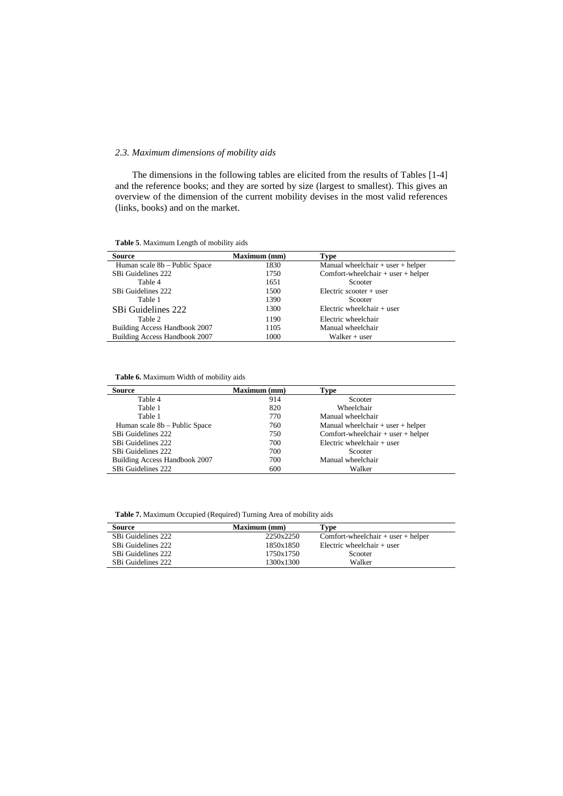## *2.3. Maximum dimensions of mobility aids*

The dimensions in the following tables are elicited from the results of Tables [1-4] and the reference books; and they are sorted by size (largest to smallest). This gives an overview of the dimension of the current mobility devises in the most valid references (links, books) and on the market.

**Table 5**. Maximum Length of mobility aids

| <b>Source</b>                 | Maximum (mm) | Type                                   |
|-------------------------------|--------------|----------------------------------------|
| Human scale 8b - Public Space | 1830         | Manual wheelchair $+$ user $+$ helper  |
| SBi Guidelines 222            | 1750         | Comfort-wheelchair $+$ user $+$ helper |
| Table 4                       | 1651         | Scooter                                |
| SBi Guidelines 222            | 1500         | Electric scooter $+$ user              |
| Table 1                       | 1390         | Scooter                                |
| SBi Guidelines 222            | 1300         | Electric wheelchair $+$ user           |
| Table 2                       | 1190         | Electric wheelchair                    |
| Building Access Handbook 2007 | 1105         | Manual wheelchair                      |
| Building Access Handbook 2007 | 1000         | Walker + user                          |

**Table 6.** Maximum Width of mobility aids

| Source                        | <b>Maximum</b> (mm) | Type                                   |
|-------------------------------|---------------------|----------------------------------------|
| Table 4                       | 914                 | Scooter                                |
| Table 1                       | 820                 | Wheelchair                             |
| Table 1                       | 770                 | Manual wheelchair                      |
| Human scale 8b – Public Space | 760                 | Manual wheelchair $+$ user $+$ helper  |
| SBi Guidelines 222            | 750                 | Comfort-wheelchair $+$ user $+$ helper |
| SBi Guidelines 222            | 700                 | Electric wheelchair $+$ user           |
| SBi Guidelines 222            | 700                 | Scooter                                |
| Building Access Handbook 2007 | 700                 | Manual wheelchair                      |
| SBi Guidelines 222            | 600                 | Walker                                 |

**Table 7.** Maximum Occupied (Required) Turning Area of mobility aids

| <b>Source</b>      | <b>Maximum</b> (mm) | Type                                   |
|--------------------|---------------------|----------------------------------------|
| SBi Guidelines 222 | 2250x2250           | Comfort-wheelchair $+$ user $+$ helper |
| SBi Guidelines 222 | 1850x1850           | Electric wheelchair $+$ user           |
| SBi Guidelines 222 | 1750x1750           | Scooter                                |
| SBi Guidelines 222 | 1300x1300           | Walker                                 |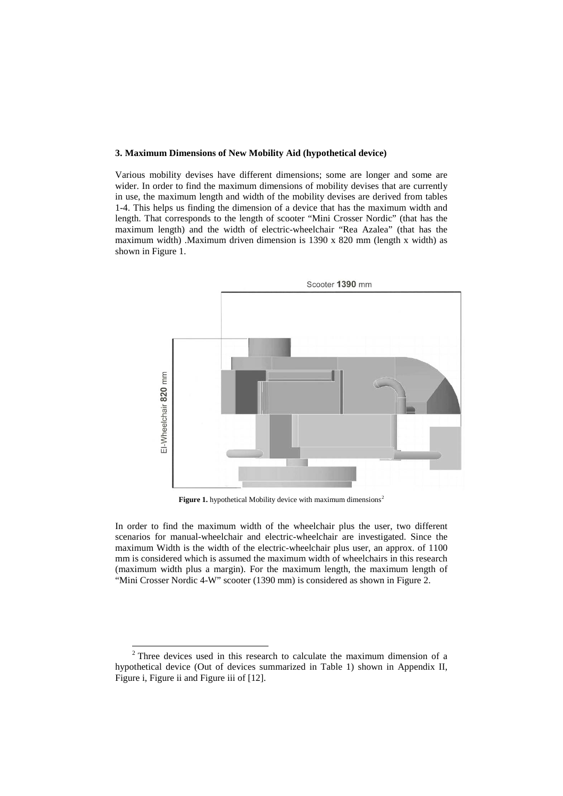#### **3. Maximum Dimensions of New Mobility Aid (hypothetical device)**

Various mobility devises have different dimensions; some are longer and some are wider. In order to find the maximum dimensions of mobility devises that are currently in use, the maximum length and width of the mobility devises are derived from tables 1-4. This helps us finding the dimension of a device that has the maximum width and length. That corresponds to the length of scooter "Mini Crosser Nordic" (that has the maximum length) and the width of electric-wheelchair "Rea Azalea" (that has the maximum width) .Maximum driven dimension is 1390 x 820 mm (length x width) as shown in Figure 1.



**Figure 1.** hypothetical Mobility device with maximum dimensions<sup>[2](#page-5-0)</sup>

In order to find the maximum width of the wheelchair plus the user, two different scenarios for manual-wheelchair and electric-wheelchair are investigated. Since the maximum Width is the width of the electric-wheelchair plus user, an approx. of 1100 mm is considered which is assumed the maximum width of wheelchairs in this research (maximum width plus a margin). For the maximum length, the maximum length of "Mini Crosser Nordic 4-W" scooter (1390 mm) is considered as shown in Figure 2.

<span id="page-5-0"></span><sup>&</sup>lt;sup>2</sup> Three devices used in this research to calculate the maximum dimension of a hypothetical device (Out of devices summarized in Table 1) shown in Appendix II, Figure i, Figure ii and Figure iii of [12].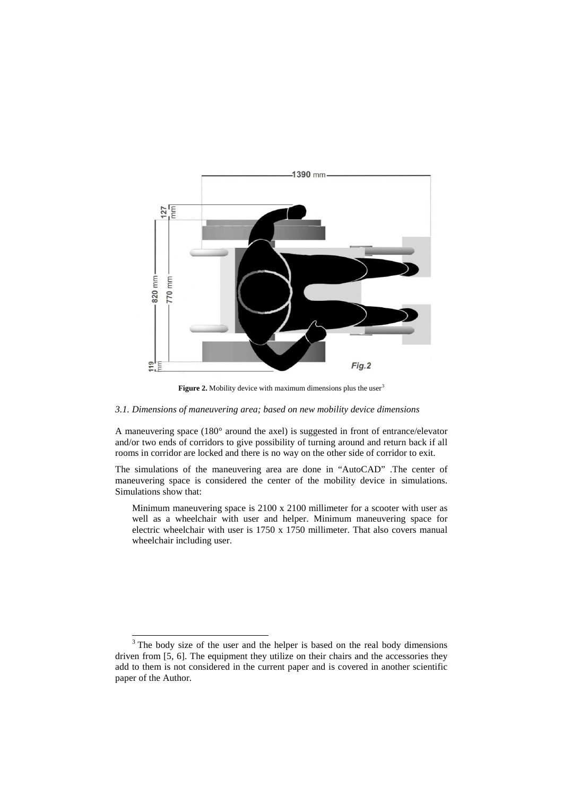

Figure 2. Mobility device with maximum dimensions plus the user<sup>[3](#page-6-0)</sup>

### *3.1. Dimensions of maneuvering area; based on new mobility device dimensions*

A maneuvering space (180° around the axel) is suggested in front of entrance/elevator and/or two ends of corridors to give possibility of turning around and return back if all rooms in corridor are locked and there is no way on the other side of corridor to exit.

The simulations of the maneuvering area are done in "AutoCAD" .The center of maneuvering space is considered the center of the mobility device in simulations. Simulations show that:

Minimum maneuvering space is 2100 x 2100 millimeter for a scooter with user as well as a wheelchair with user and helper. Minimum maneuvering space for electric wheelchair with user is 1750 x 1750 millimeter. That also covers manual wheelchair including user.

<span id="page-6-0"></span><sup>&</sup>lt;sup>3</sup> The body size of the user and the helper is based on the real body dimensions driven from [5, 6]. The equipment they utilize on their chairs and the accessories they add to them is not considered in the current paper and is covered in another scientific paper of the Author.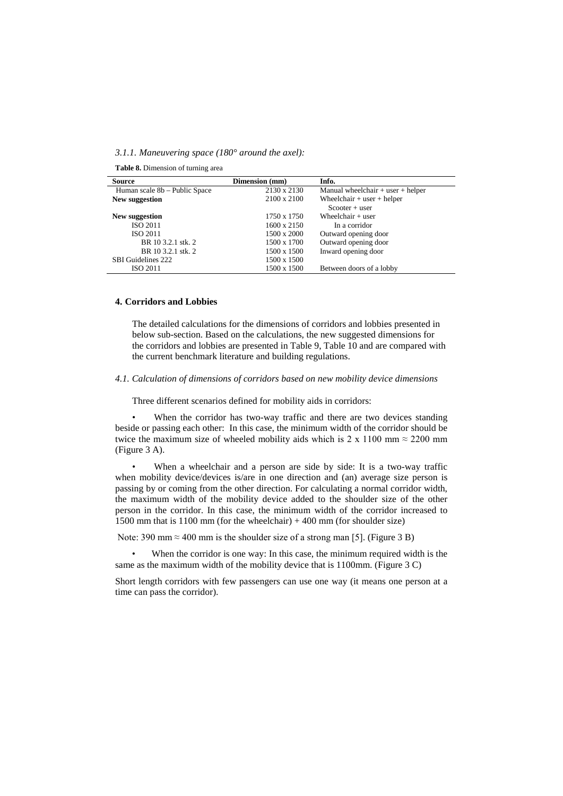*3.1.1. Maneuvering space (180° around the axel):*

| <b>Table 8.</b> Dimension of turning area |  |
|-------------------------------------------|--|
|-------------------------------------------|--|

| Source                        | Dimension (mm)     | Info.                                 |
|-------------------------------|--------------------|---------------------------------------|
| Human scale 8b – Public Space | 2130 x 2130        | Manual wheelchair $+$ user $+$ helper |
| New suggestion                | 2100 x 2100        | Wheelchair $+$ user $+$ helper        |
|                               |                    | $Scooter + user$                      |
| New suggestion                | 1750 x 1750        | Wheelchair $+$ user                   |
| ISO 2011                      | 1600 x 2150        | In a corridor                         |
| <b>ISO 2011</b>               | $1500 \times 2000$ | Outward opening door                  |
| BR 10 3.2.1 stk. 2            | 1500 x 1700        | Outward opening door                  |
| BR 10 3.2.1 stk. 2            | 1500 x 1500        | Inward opening door                   |
| <b>SBI</b> Guidelines 222     | 1500 x 1500        |                                       |
| ISO 2011                      | 1500 x 1500        | Between doors of a lobby              |

#### **4. Corridors and Lobbies**

The detailed calculations for the dimensions of corridors and lobbies presented in below sub-section. Based on the calculations, the new suggested dimensions for the corridors and lobbies are presented in Table 9, Table 10 and are compared with the current benchmark literature and building regulations.

*4.1. Calculation of dimensions of corridors based on new mobility device dimensions*

Three different scenarios defined for mobility aids in corridors:

When the corridor has two-way traffic and there are two devices standing beside or passing each other: In this case, the minimum width of the corridor should be twice the maximum size of wheeled mobility aids which is 2 x 1100 mm  $\approx$  2200 mm (Figure 3 A).

When a wheelchair and a person are side by side: It is a two-way traffic when mobility device/devices is/are in one direction and (an) average size person is passing by or coming from the other direction. For calculating a normal corridor width, the maximum width of the mobility device added to the shoulder size of the other person in the corridor. In this case, the minimum width of the corridor increased to 1500 mm that is  $1100$  mm (for the wheelchair)  $+400$  mm (for shoulder size)

Note: 390 mm  $\approx$  400 mm is the shoulder size of a strong man [5]. (Figure 3 B)

When the corridor is one way: In this case, the minimum required width is the same as the maximum width of the mobility device that is 1100mm. (Figure 3 C)

Short length corridors with few passengers can use one way (it means one person at a time can pass the corridor).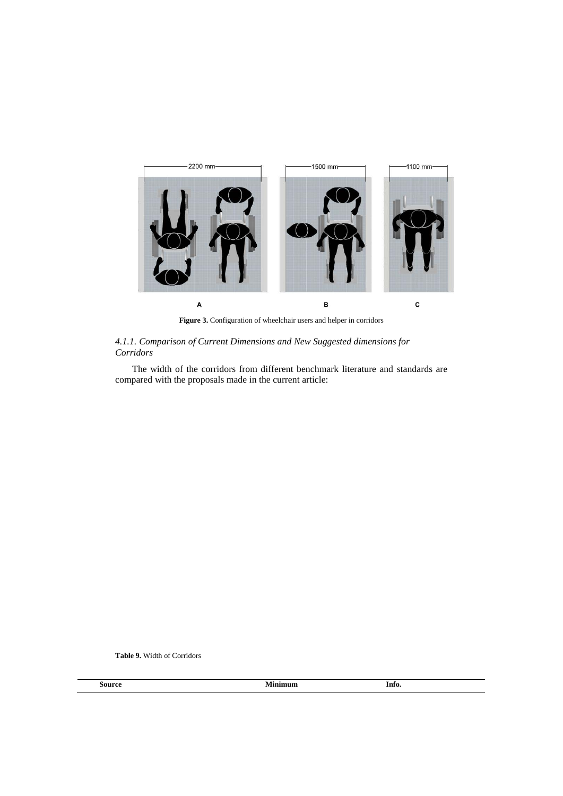

**Figure 3.** Configuration of wheelchair users and helper in corridors

## *4.1.1. Comparison of Current Dimensions and New Suggested dimensions for Corridors*

The width of the corridors from different benchmark literature and standards are compared with the proposals made in the current article:

**Table 9.** Width of Corridors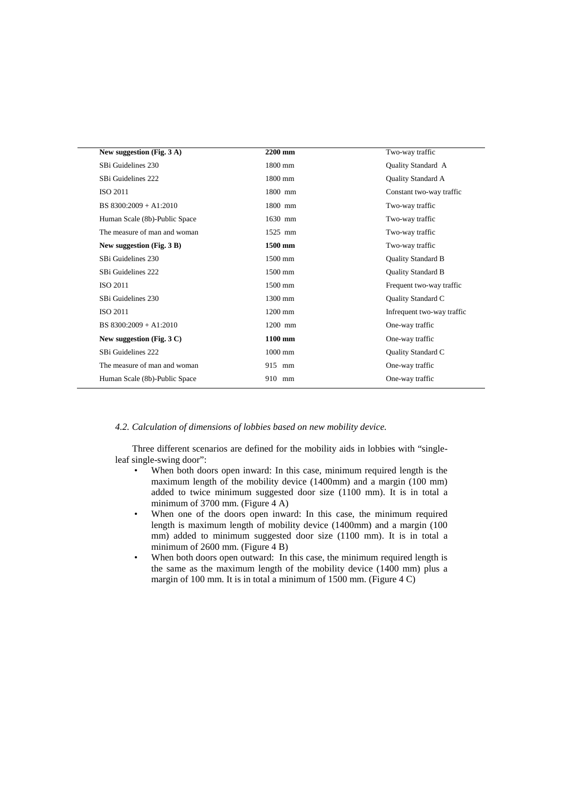| New suggestion (Fig. 3 A)            | 2200 mm           | Two-way traffic            |
|--------------------------------------|-------------------|----------------------------|
| SBi Guidelines 230                   | $1800$ mm         | Quality Standard A         |
| SBi Guidelines 222                   | $1800 \text{ mm}$ | Quality Standard A         |
| <b>ISO 2011</b>                      | 1800 mm           | Constant two-way traffic   |
| BS $8300:2009 + A1:2010$             | 1800 mm           | Two-way traffic            |
| Human Scale (8b)-Public Space        | 1630 mm           | Two-way traffic            |
| The measure of man and woman         | $1525$ mm         | Two-way traffic            |
| New suggestion (Fig. 3 B)            | 1500 mm           | Two-way traffic            |
| SBi Guidelines 230                   | 1500 mm           | Quality Standard B         |
| SBi Guidelines 222                   | 1500 mm           | Quality Standard B         |
| <b>ISO 2011</b>                      | 1500 mm           | Frequent two-way traffic   |
| SBi Guidelines 230                   | 1300 mm           | Quality Standard C         |
| <b>ISO 2011</b>                      | $1200$ mm         | Infrequent two-way traffic |
| BS 8300:2009 + A1:2010               | 1200 mm           | One-way traffic            |
| New suggestion (Fig. $3 \text{ C}$ ) | 1100 mm           | One-way traffic            |
| SBi Guidelines 222                   | $1000$ mm         | Quality Standard C         |
| The measure of man and woman         | 915 mm            | One-way traffic            |
| Human Scale (8b)-Public Space        | 910 mm            | One-way traffic            |
|                                      |                   |                            |

#### *4.2. Calculation of dimensions of lobbies based on new mobility device.*

Three different scenarios are defined for the mobility aids in lobbies with "singleleaf single-swing door":

- When both doors open inward: In this case, minimum required length is the maximum length of the mobility device (1400mm) and a margin (100 mm) added to twice minimum suggested door size (1100 mm). It is in total a minimum of 3700 mm. (Figure 4 A)
- When one of the doors open inward: In this case, the minimum required length is maximum length of mobility device (1400mm) and a margin (100 mm) added to minimum suggested door size (1100 mm). It is in total a minimum of 2600 mm. (Figure 4 B)
- When both doors open outward: In this case, the minimum required length is the same as the maximum length of the mobility device (1400 mm) plus a margin of 100 mm. It is in total a minimum of 1500 mm. (Figure 4 C)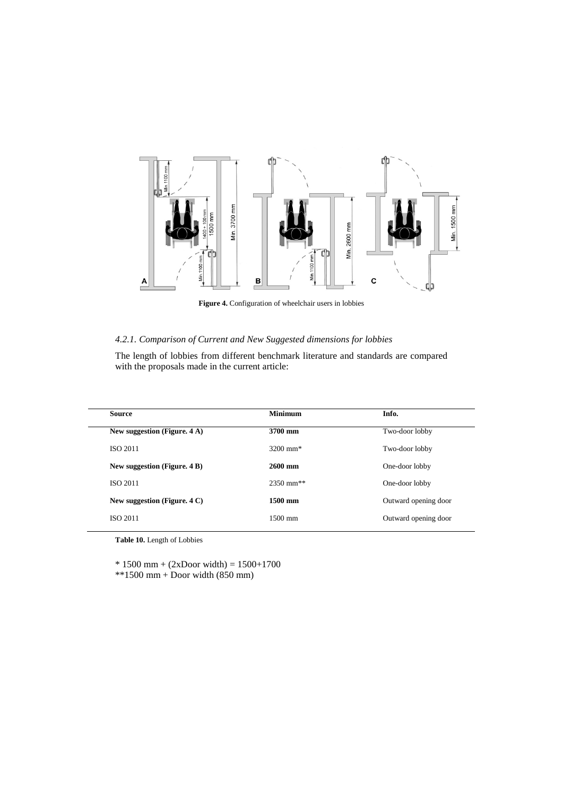

**Figure 4.** Configuration of wheelchair users in lobbies

## *4.2.1. Comparison of Current and New Suggested dimensions for lobbies*

The length of lobbies from different benchmark literature and standards are compared with the proposals made in the current article:

| <b>Source</b>                | <b>Minimum</b>         | Info.                |
|------------------------------|------------------------|----------------------|
| New suggestion (Figure. 4 A) | 3700 mm                | Two-door lobby       |
| <b>ISO 2011</b>              | $3200 \text{ mm}^*$    | Two-door lobby       |
| New suggestion (Figure. 4 B) | $2600$ mm              | One-door lobby       |
| <b>ISO 2011</b>              | $2350 \text{ mm}^{**}$ | One-door lobby       |
| New suggestion (Figure. 4 C) | 1500 mm                | Outward opening door |
| <b>ISO 2011</b>              | $1500 \; \mathrm{mm}$  | Outward opening door |

**Table 10.** Length of Lobbies

\* 1500 mm + (2xDoor width) = 1500+1700

\*\*1500 mm + Door width (850 mm)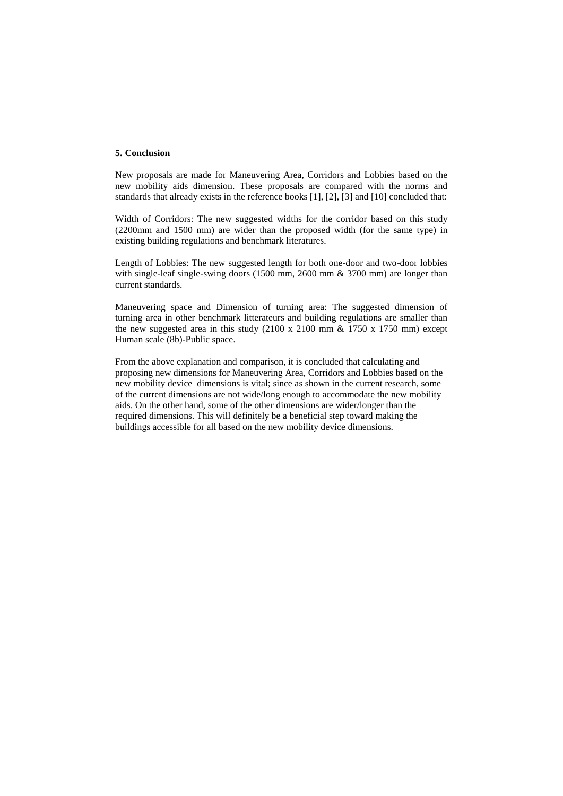### **5. Conclusion**

New proposals are made for Maneuvering Area, Corridors and Lobbies based on the new mobility aids dimension. These proposals are compared with the norms and standards that already exists in the reference books [1], [2], [3] and [10] concluded that:

Width of Corridors: The new suggested widths for the corridor based on this study (2200mm and 1500 mm) are wider than the proposed width (for the same type) in existing building regulations and benchmark literatures.

Length of Lobbies: The new suggested length for both one-door and two-door lobbies with single-leaf single-swing doors (1500 mm, 2600 mm & 3700 mm) are longer than current standards.

Maneuvering space and Dimension of turning area: The suggested dimension of turning area in other benchmark litterateurs and building regulations are smaller than the new suggested area in this study  $(2100 \times 2100 \text{ mm} \& 1750 \times 1750 \text{ mm})$  except Human scale (8b)-Public space.

From the above explanation and comparison, it is concluded that calculating and proposing new dimensions for Maneuvering Area, Corridors and Lobbies based on the new mobility device dimensions is vital; since as shown in the current research, some of the current dimensions are not wide/long enough to accommodate the new mobility aids. On the other hand, some of the other dimensions are wider/longer than the required dimensions. This will definitely be a beneficial step toward making the buildings accessible for all based on the new mobility device dimensions.